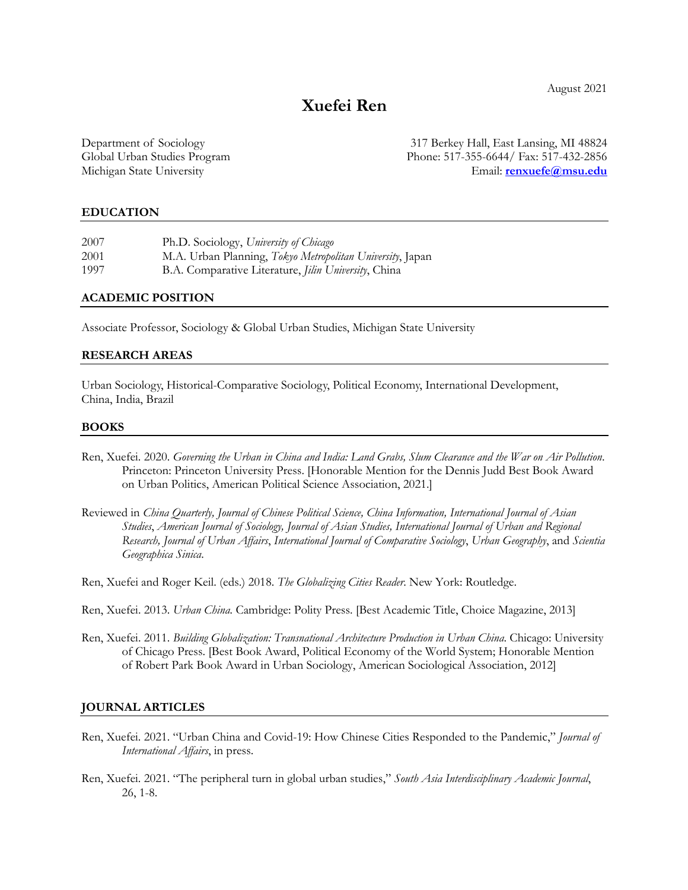August 2021

# **Xuefei Ren**

Department of Sociology 317 Berkey Hall, East Lansing, MI 48824 Global Urban Studies Program Phone: 517-355-6644/ Fax: 517-432-2856 Michigan State University Email: **renxuefe@msu.edu**

### **EDUCATION**

| 2007 | Ph.D. Sociology, University of Chicago                       |
|------|--------------------------------------------------------------|
| 2001 | M.A. Urban Planning, Tokyo Metropolitan University, Japan    |
| 1997 | B.A. Comparative Literature, <i>Jilin University</i> , China |

#### **ACADEMIC POSITION**

Associate Professor, Sociology & Global Urban Studies, Michigan State University

#### **RESEARCH AREAS**

Urban Sociology, Historical-Comparative Sociology, Political Economy, International Development, China, India, Brazil

#### **BOOKS**

- Ren, Xuefei. 2020. *Governing the Urban in China and India: Land Grabs, Slum Clearance and the War on Air Pollution*. Princeton: Princeton University Press. [Honorable Mention for the Dennis Judd Best Book Award on Urban Politics, American Political Science Association, 2021.]
- Reviewed in *China Quarterly, Journal of Chinese Political Science, China Information, International Journal of Asian Studies*, *American Journal of Sociology, Journal of Asian Studies, International Journal of Urban and Regional Research, Journal of Urban Affairs*, *International Journal of Comparative Sociology*, *Urban Geography*, and *Scientia Geographica Sinica*.

Ren, Xuefei and Roger Keil. (eds.) 2018. *The Globalizing Cities Reader*. New York: Routledge.

- Ren, Xuefei. 2013. *Urban China.* Cambridge: Polity Press. [Best Academic Title, Choice Magazine, 2013]
- Ren, Xuefei. 2011. *Building Globalization: Transnational Architecture Production in Urban China*. Chicago: University of Chicago Press. [Best Book Award, Political Economy of the World System; Honorable Mention of Robert Park Book Award in Urban Sociology, American Sociological Association, 2012]

#### **JOURNAL ARTICLES**

- Ren, Xuefei. 2021. "Urban China and Covid-19: How Chinese Cities Responded to the Pandemic," *Journal of International Affairs*, in press.
- Ren, Xuefei. 2021. "The peripheral turn in global urban studies," *South Asia Interdisciplinary Academic Journal*, 26, 1-8.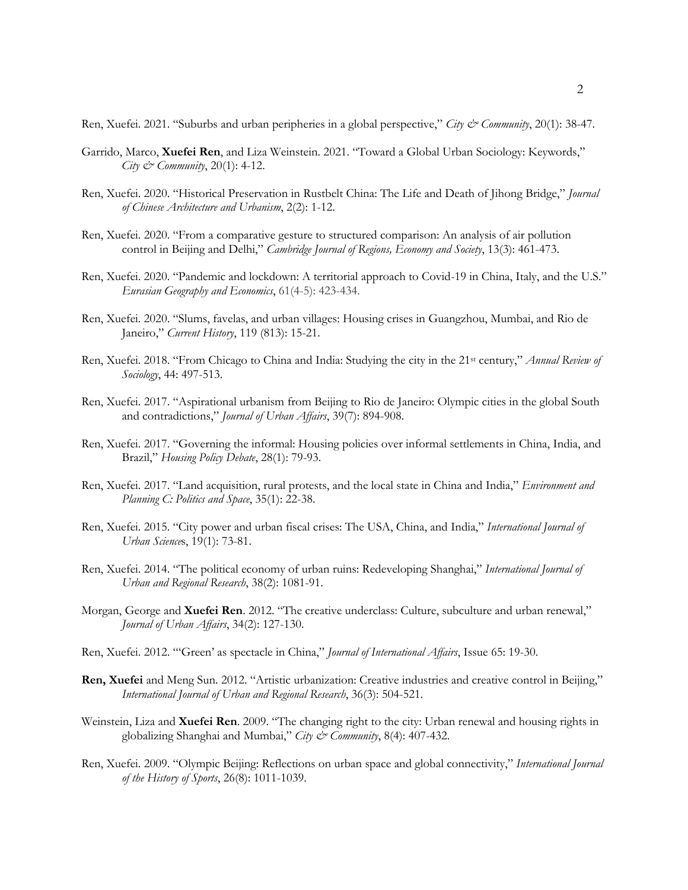Ren, Xuefei. 2021. "Suburbs and urban peripheries in a global perspective," *City & Community*, 20(1): 38-47.

- Garrido, Marco, **Xuefei Ren**, and Liza Weinstein. 2021. "Toward a Global Urban Sociology: Keywords,"  *City & Community*, 20(1): 4-12.
- Ren, Xuefei. 2020. "Historical Preservation in Rustbelt China: The Life and Death of Jihong Bridge," *Journal of Chinese Architecture and Urbanism*, 2(2): 1-12.
- Ren, Xuefei. 2020. "From a comparative gesture to structured comparison: An analysis of air pollution control in Beijing and Delhi," *Cambridge Journal of Regions, Economy and Society*, 13(3): 461-473.
- Ren, Xuefei. 2020. "Pandemic and lockdown: A territorial approach to Covid-19 in China, Italy, and the U.S." *Eurasian Geography and Economics*, 61(4-5): 423-434.
- Ren, Xuefei. 2020. "Slums, favelas, and urban villages: Housing crises in Guangzhou, Mumbai, and Rio de Janeiro," *Current History*, 119 (813): 15-21.
- Ren, Xuefei. 2018. "From Chicago to China and India: Studying the city in the 21st century," *Annual Review of Sociology*, 44: 497-513.
- Ren, Xuefei. 2017. "Aspirational urbanism from Beijing to Rio de Janeiro: Olympic cities in the global South and contradictions," *Journal of Urban Affairs*, 39(7): 894-908.
- Ren, Xuefei. 2017. "Governing the informal: Housing policies over informal settlements in China, India, and Brazil," *Housing Policy Debate*, 28(1): 79-93.
- Ren, Xuefei. 2017. "Land acquisition, rural protests, and the local state in China and India," *Environment and Planning C: Politics and Space*, 35(1): 22-38.
- Ren, Xuefei. 2015. "City power and urban fiscal crises: The USA, China, and India," *International Journal of Urban Science*s, 19(1): 73-81.
- Ren, Xuefei. 2014. "The political economy of urban ruins: Redeveloping Shanghai," *International Journal of Urban and Regional Research*, 38(2): 1081-91.
- Morgan, George and **Xuefei Ren**. 2012. "The creative underclass: Culture, subculture and urban renewal," *Journal of Urban Affairs*, 34(2): 127-130.
- Ren, Xuefei. 2012. "'Green' as spectacle in China," *Journal of International Affairs*, Issue 65: 19-30.
- **Ren, Xuefei** and Meng Sun. 2012. "Artistic urbanization: Creative industries and creative control in Beijing," *International Journal of Urban and Regional Research*, 36(3): 504-521.
- Weinstein, Liza and **Xuefei Ren**. 2009. "The changing right to the city: Urban renewal and housing rights in globalizing Shanghai and Mumbai," *City & Community*, 8(4): 407-432.
- Ren, Xuefei. 2009. "Olympic Beijing: Reflections on urban space and global connectivity," *International Journal of the History of Sports*, 26(8): 1011-1039.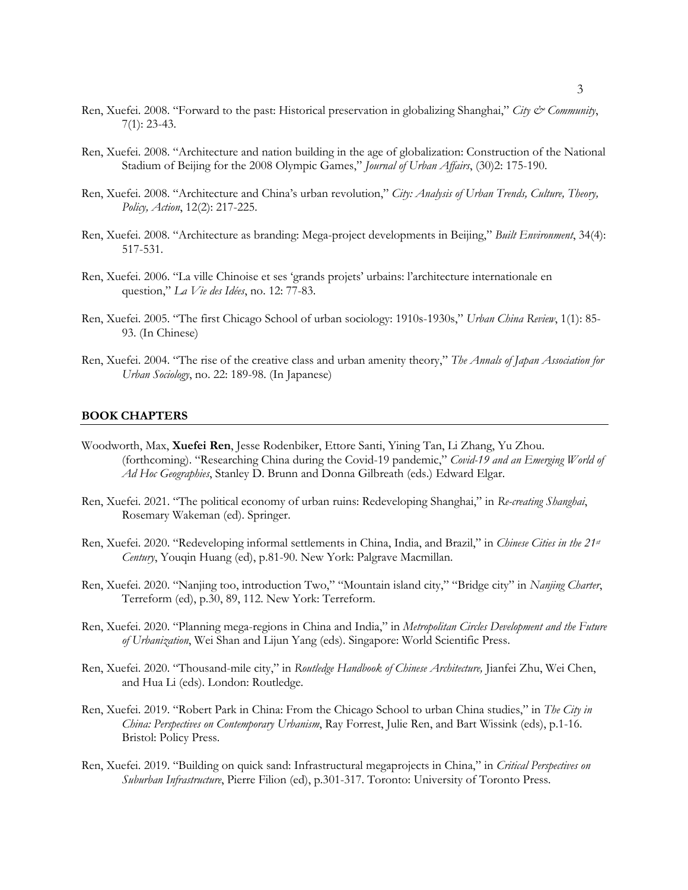- Ren, Xuefei. 2008. "Forward to the past: Historical preservation in globalizing Shanghai," *City & Community*, 7(1): 23-43.
- Ren, Xuefei. 2008. "Architecture and nation building in the age of globalization: Construction of the National Stadium of Beijing for the 2008 Olympic Games," *Journal of Urban Affairs*, (30)2: 175-190.
- Ren, Xuefei. 2008. "Architecture and China's urban revolution," *City: Analysis of Urban Trends, Culture, Theory, Policy, Action*, 12(2): 217-225.
- Ren, Xuefei. 2008. "Architecture as branding: Mega-project developments in Beijing," *Built Environment*, 34(4): 517-531.
- Ren, Xuefei. 2006. "La ville Chinoise et ses 'grands projets' urbains: l'architecture internationale en question," *La Vie des Idées*, no. 12: 77-83.
- Ren, Xuefei. 2005. "The first Chicago School of urban sociology: 1910s-1930s," *Urban China Review*, 1(1): 85- 93. (In Chinese)
- Ren, Xuefei. 2004. "The rise of the creative class and urban amenity theory," *The Annals of Japan Association for Urban Sociology*, no. 22: 189-98. (In Japanese)

#### **BOOK CHAPTERS**

- Woodworth, Max, **Xuefei Ren**, Jesse Rodenbiker, Ettore Santi, Yining Tan, Li Zhang, Yu Zhou. (forthcoming). "Researching China during the Covid-19 pandemic," *Covid-19 and an Emerging World of Ad Hoc Geographies*, Stanley D. Brunn and Donna Gilbreath (eds.) Edward Elgar.
- Ren, Xuefei. 2021. "The political economy of urban ruins: Redeveloping Shanghai," in *Re-creating Shanghai*, Rosemary Wakeman (ed). Springer.
- Ren, Xuefei. 2020. "Redeveloping informal settlements in China, India, and Brazil," in *Chinese Cities in the 21st Century*, Youqin Huang (ed), p.81-90. New York: Palgrave Macmillan.
- Ren, Xuefei. 2020. "Nanjing too, introduction Two," "Mountain island city," "Bridge city" in *Nanjing Charter*, Terreform (ed), p.30, 89, 112. New York: Terreform.
- Ren, Xuefei. 2020. "Planning mega-regions in China and India," in *Metropolitan Circles Development and the Future of Urbanization*, Wei Shan and Lijun Yang (eds). Singapore: World Scientific Press.
- Ren, Xuefei. 2020. "Thousand-mile city," in *Routledge Handbook of Chinese Architecture,* Jianfei Zhu, Wei Chen, and Hua Li (eds). London: Routledge.
- Ren, Xuefei. 2019. "Robert Park in China: From the Chicago School to urban China studies," in *The City in China: Perspectives on Contemporary Urbanism*, Ray Forrest, Julie Ren, and Bart Wissink (eds), p.1-16. Bristol: Policy Press.
- Ren, Xuefei. 2019. "Building on quick sand: Infrastructural megaprojects in China," in *Critical Perspectives on Suburban Infrastructure*, Pierre Filion (ed), p.301-317. Toronto: University of Toronto Press.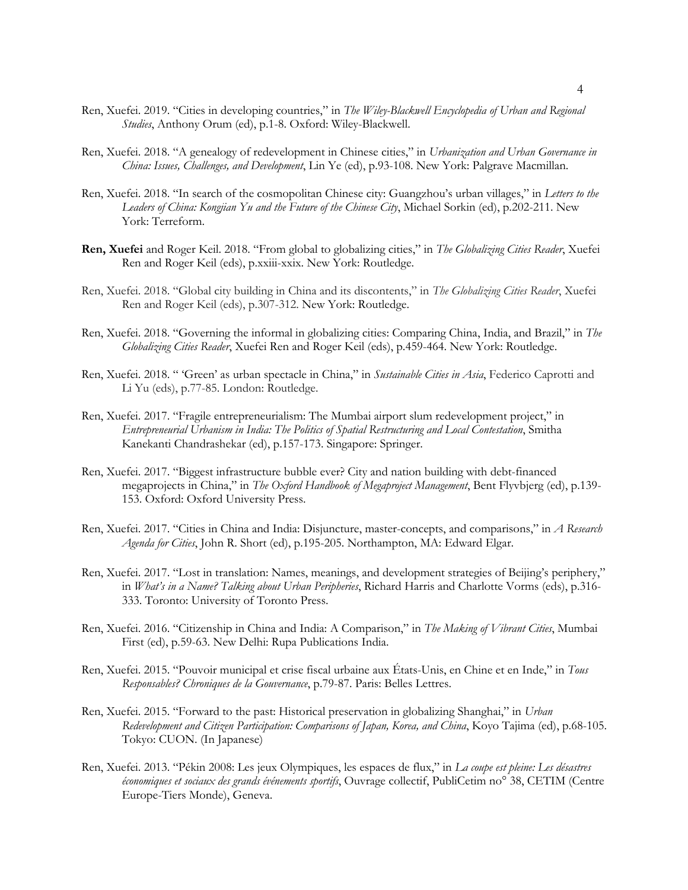- Ren, Xuefei. 2019. "Cities in developing countries," in *The Wiley-Blackwell Encyclopedia of Urban and Regional Studies*, Anthony Orum (ed), p.1-8. Oxford: Wiley-Blackwell.
- Ren, Xuefei. 2018. "A genealogy of redevelopment in Chinese cities," in *Urbanization and Urban Governance in China: Issues, Challenges, and Development*, Lin Ye (ed), p.93-108. New York: Palgrave Macmillan.
- Ren, Xuefei. 2018. "In search of the cosmopolitan Chinese city: Guangzhou's urban villages," in *Letters to the Leaders of China: Kongjian Yu and the Future of the Chinese City*, Michael Sorkin (ed), p.202-211. New York: Terreform.
- **Ren, Xuefei** and Roger Keil. 2018. "From global to globalizing cities," in *The Globalizing Cities Reader*, Xuefei Ren and Roger Keil (eds), p.xxiii-xxix. New York: Routledge.
- Ren, Xuefei. 2018. "Global city building in China and its discontents," in *The Globalizing Cities Reader*, Xuefei Ren and Roger Keil (eds), p.307-312. New York: Routledge.
- Ren, Xuefei. 2018. "Governing the informal in globalizing cities: Comparing China, India, and Brazil," in *The Globalizing Cities Reader*, Xuefei Ren and Roger Keil (eds), p.459-464. New York: Routledge.
- Ren, Xuefei. 2018. " 'Green' as urban spectacle in China," in *Sustainable Cities in Asia*, Federico Caprotti and Li Yu (eds), p.77-85. London: Routledge.
- Ren, Xuefei. 2017. "Fragile entrepreneurialism: The Mumbai airport slum redevelopment project," in *Entrepreneurial Urbanism in India: The Politics of Spatial Restructuring and Local Contestation*, Smitha Kanekanti Chandrashekar (ed), p.157-173. Singapore: Springer.
- Ren, Xuefei. 2017. "Biggest infrastructure bubble ever? City and nation building with debt-financed megaprojects in China," in *The Oxford Handbook of Megaproject Management*, Bent Flyvbjerg (ed), p.139- 153. Oxford: Oxford University Press.
- Ren, Xuefei. 2017. "Cities in China and India: Disjuncture, master-concepts, and comparisons," in *A Research Agenda for Cities*, John R. Short (ed), p.195-205. Northampton, MA: Edward Elgar.
- Ren, Xuefei. 2017. "Lost in translation: Names, meanings, and development strategies of Beijing's periphery," in *What's in a Name? Talking about Urban Peripheries*, Richard Harris and Charlotte Vorms (eds), p.316- 333. Toronto: University of Toronto Press.
- Ren, Xuefei. 2016. "Citizenship in China and India: A Comparison," in *The Making of Vibrant Cities*, Mumbai First (ed), p.59-63. New Delhi: Rupa Publications India.
- Ren, Xuefei. 2015. "Pouvoir municipal et crise fiscal urbaine aux États-Unis, en Chine et en Inde," in *Tous Responsables? Chroniques de la Gouvernance*, p.79-87. Paris: Belles Lettres.
- Ren, Xuefei. 2015. "Forward to the past: Historical preservation in globalizing Shanghai," in *Urban Redevelopment and Citizen Participation: Comparisons of Japan, Korea, and China*, Koyo Tajima (ed), p.68-105. Tokyo: CUON. (In Japanese)
- Ren, Xuefei. 2013. "Pékin 2008: Les jeux Olympiques, les espaces de flux," in *La coupe est pleine: Les désastres économiques et sociaux des grands événements sportifs*, Ouvrage collectif, PubliCetim no° 38, CETIM (Centre Europe-Tiers Monde), Geneva.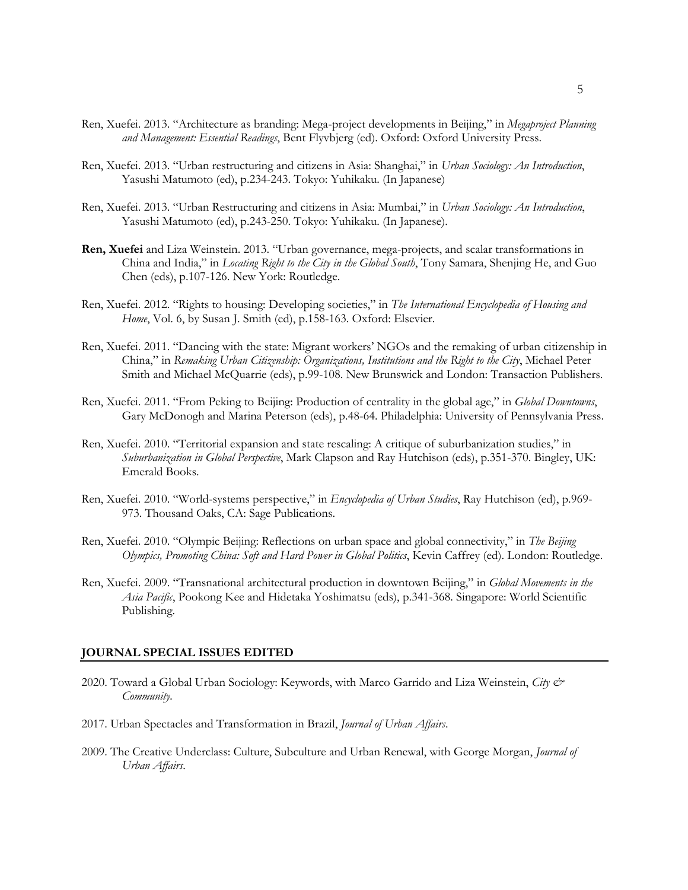- Ren, Xuefei. 2013. "Architecture as branding: Mega-project developments in Beijing," in *Megaproject Planning and Management: Essential Readings*, Bent Flyvbjerg (ed). Oxford: Oxford University Press.
- Ren, Xuefei. 2013. "Urban restructuring and citizens in Asia: Shanghai," in *Urban Sociology: An Introduction*, Yasushi Matumoto (ed), p.234-243. Tokyo: Yuhikaku. (In Japanese)
- Ren, Xuefei. 2013. "Urban Restructuring and citizens in Asia: Mumbai," in *Urban Sociology: An Introduction*, Yasushi Matumoto (ed), p.243-250. Tokyo: Yuhikaku. (In Japanese).
- **Ren, Xuefei** and Liza Weinstein. 2013. "Urban governance, mega-projects, and scalar transformations in China and India," in *Locating Right to the City in the Global South*, Tony Samara, Shenjing He, and Guo Chen (eds), p.107-126. New York: Routledge.
- Ren, Xuefei. 2012. "Rights to housing: Developing societies," in *The International Encyclopedia of Housing and Home*, Vol. 6, by Susan J. Smith (ed), p.158-163. Oxford: Elsevier.
- Ren, Xuefei. 2011. "Dancing with the state: Migrant workers' NGOs and the remaking of urban citizenship in China," in *Remaking Urban Citizenship: Organizations, Institutions and the Right to the City*, Michael Peter Smith and Michael McQuarrie (eds), p.99-108. New Brunswick and London: Transaction Publishers.
- Ren, Xuefei. 2011. "From Peking to Beijing: Production of centrality in the global age," in *Global Downtowns*, Gary McDonogh and Marina Peterson (eds), p.48-64. Philadelphia: University of Pennsylvania Press.
- Ren, Xuefei. 2010. "Territorial expansion and state rescaling: A critique of suburbanization studies," in *Suburbanization in Global Perspective*, Mark Clapson and Ray Hutchison (eds), p.351-370. Bingley, UK: Emerald Books.
- Ren, Xuefei. 2010. "World-systems perspective," in *Encyclopedia of Urban Studies*, Ray Hutchison (ed), p.969- 973. Thousand Oaks, CA: Sage Publications.
- Ren, Xuefei. 2010. "Olympic Beijing: Reflections on urban space and global connectivity," in *The Beijing Olympics, Promoting China: Soft and Hard Power in Global Politics*, Kevin Caffrey (ed). London: Routledge.
- Ren, Xuefei. 2009. "Transnational architectural production in downtown Beijing," in *Global Movements in the Asia Pacific*, Pookong Kee and Hidetaka Yoshimatsu (eds), p.341-368. Singapore: World Scientific Publishing.

#### **JOURNAL SPECIAL ISSUES EDITED**

- 2020. Toward a Global Urban Sociology: Keywords, with Marco Garrido and Liza Weinstein, *City & Community.*
- 2017. Urban Spectacles and Transformation in Brazil, *Journal of Urban Affairs*.
- 2009. The Creative Underclass: Culture, Subculture and Urban Renewal, with George Morgan, *Journal of Urban Affairs*.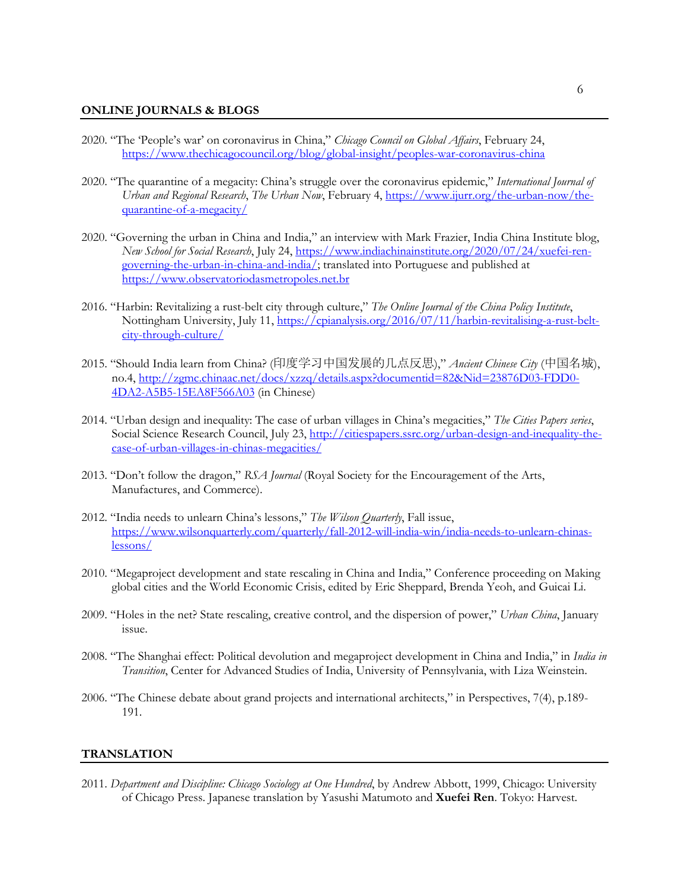#### **ONLINE JOURNALS & BLOGS**

- 2020. "The 'People's war' on coronavirus in China," *Chicago Council on Global Affairs*, February 24, https://www.thechicagocouncil.org/blog/global-insight/peoples-war-coronavirus-china
- 2020. "The quarantine of a megacity: China's struggle over the coronavirus epidemic," *International Journal of Urban and Regional Research*, *The Urban Now*, February 4, https://www.ijurr.org/the-urban-now/thequarantine-of-a-megacity/
- 2020. "Governing the urban in China and India," an interview with Mark Frazier, India China Institute blog, *New School for Social Research*, July 24, https://www.indiachinainstitute.org/2020/07/24/xuefei-rengoverning-the-urban-in-china-and-india/; translated into Portuguese and published at https://www.observatoriodasmetropoles.net.br
- 2016. "Harbin: Revitalizing a rust-belt city through culture," *The Online Journal of the China Policy Institute*, Nottingham University, July 11, https://cpianalysis.org/2016/07/11/harbin-revitalising-a-rust-beltcity-through-culture/
- 2015. "Should India learn from China? (印度学习中国发展的几点反思)," *Ancient Chinese City* (中国名城), no.4, http://zgmc.chinaac.net/docs/xzzq/details.aspx?documentid=82&Nid=23876D03-FDD0- 4DA2-A5B5-15EA8F566A03 (in Chinese)
- 2014. "Urban design and inequality: The case of urban villages in China's megacities," *The Cities Papers series*, Social Science Research Council, July 23, http://citiespapers.ssrc.org/urban-design-and-inequality-thecase-of-urban-villages-in-chinas-megacities/
- 2013. "Don't follow the dragon," *RSA Journal* (Royal Society for the Encouragement of the Arts, Manufactures, and Commerce).
- 2012. "India needs to unlearn China's lessons," *The Wilson Quarterly*, Fall issue, https://www.wilsonquarterly.com/quarterly/fall-2012-will-india-win/india-needs-to-unlearn-chinaslessons/
- 2010. "Megaproject development and state rescaling in China and India," Conference proceeding on Making global cities and the World Economic Crisis, edited by Eric Sheppard, Brenda Yeoh, and Guicai Li.
- 2009. "Holes in the net? State rescaling, creative control, and the dispersion of power," *Urban China*, January issue.
- 2008. "The Shanghai effect: Political devolution and megaproject development in China and India," in *India in Transition*, Center for Advanced Studies of India, University of Pennsylvania, with Liza Weinstein.
- 2006. "The Chinese debate about grand projects and international architects," in Perspectives, 7(4), p.189- 191.

### **TRANSLATION**

2011. *Department and Discipline: Chicago Sociology at One Hundred*, by Andrew Abbott, 1999, Chicago: University of Chicago Press. Japanese translation by Yasushi Matumoto and **Xuefei Ren**. Tokyo: Harvest.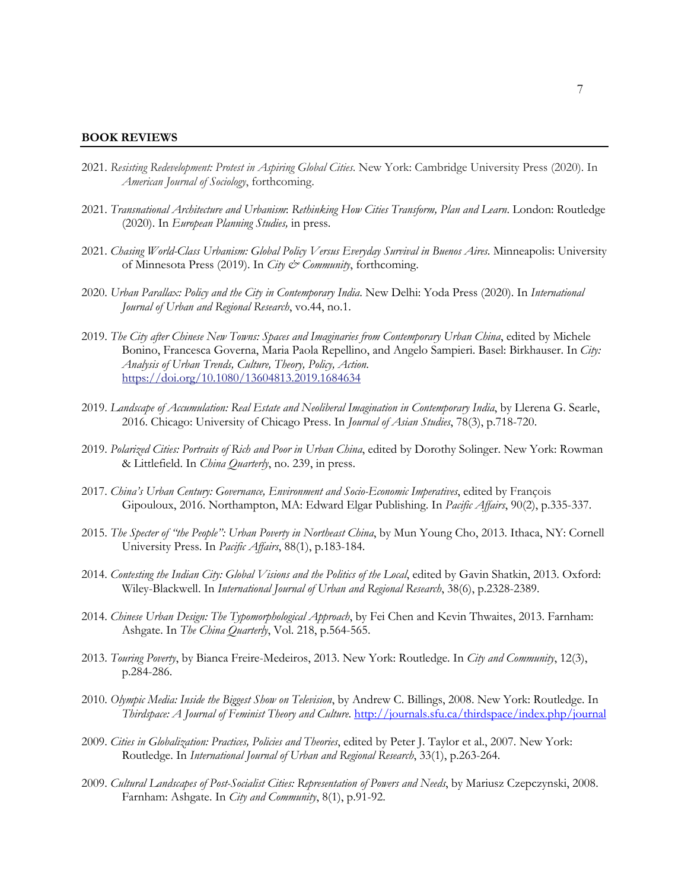#### **BOOK REVIEWS**

- 2021. *Resisting Redevelopment: Protest in Aspiring Global Cities*. New York: Cambridge University Press (2020). In *American Journal of Sociology*, forthcoming.
- 2021. *Transnational Architecture and Urbanism*: *Rethinking How Cities Transform, Plan and Learn*. London: Routledge (2020). In *European Planning Studies,* in press.
- 2021. *Chasing World-Class Urbanism: Global Policy Versus Everyday Survival in Buenos Aires*. Minneapolis: University of Minnesota Press (2019). In *City & Community*, forthcoming.
- 2020. *Urban Parallax: Policy and the City in Contemporary India*. New Delhi: Yoda Press (2020). In *International Journal of Urban and Regional Research*, vo.44, no.1.
- 2019. *The City after Chinese New Towns: Spaces and Imaginaries from Contemporary Urban China*, edited by Michele Bonino, Francesca Governa, Maria Paola Repellino, and Angelo Sampieri. Basel: Birkhauser. In *City: Analysis of Urban Trends, Culture, Theory, Policy, Action*. https://doi.org/10.1080/13604813.2019.1684634
- 2019. *Landscape of Accumulation: Real Estate and Neoliberal Imagination in Contemporary India*, by Llerena G. Searle, 2016. Chicago: University of Chicago Press. In *Journal of Asian Studies*, 78(3), p.718-720.
- 2019. *Polarized Cities: Portraits of Rich and Poor in Urban China*, edited by Dorothy Solinger. New York: Rowman & Littlefield. In *China Quarterly*, no. 239, in press.
- 2017. *China's Urban Century: Governance, Environment and Socio-Economic Imperatives*, edited by François Gipouloux, 2016. Northampton, MA: Edward Elgar Publishing. In *Pacific Affairs*, 90(2), p.335-337.
- 2015. *The Specter of "the People": Urban Poverty in Northeast China*, by Mun Young Cho, 2013. Ithaca, NY: Cornell University Press. In *Pacific Affairs*, 88(1), p.183-184.
- 2014. *Contesting the Indian City: Global Visions and the Politics of the Local*, edited by Gavin Shatkin, 2013. Oxford: Wiley-Blackwell. In *International Journal of Urban and Regional Research*, 38(6), p.2328-2389.
- 2014. *Chinese Urban Design: The Typomorphological Approach*, by Fei Chen and Kevin Thwaites, 2013. Farnham: Ashgate. In *The China Quarterly*, Vol. 218, p.564-565.
- 2013. *Touring Poverty*, by Bianca Freire-Medeiros, 2013. New York: Routledge. In *City and Community*, 12(3), p.284-286.
- 2010. *Olympic Media: Inside the Biggest Show on Television*, by Andrew C. Billings, 2008. New York: Routledge. In *Thirdspace: A Journal of Feminist Theory and Culture*. http://journals.sfu.ca/thirdspace/index.php/journal
- 2009. *Cities in Globalization: Practices, Policies and Theories*, edited by Peter J. Taylor et al., 2007. New York: Routledge. In *International Journal of Urban and Regional Research*, 33(1), p.263-264.
- 2009. *Cultural Landscapes of Post-Socialist Cities: Representation of Powers and Needs*, by Mariusz Czepczynski, 2008. Farnham: Ashgate. In *City and Community*, 8(1), p.91-92.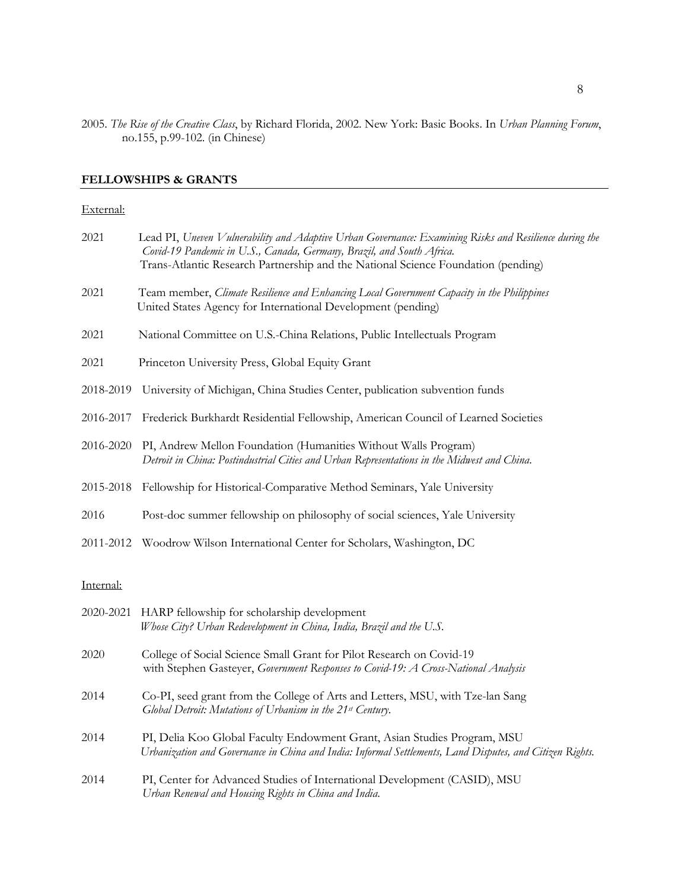2005. *The Rise of the Creative Class*, by Richard Florida, 2002. New York: Basic Books. In *Urban Planning Forum*, no.155, p.99-102. (in Chinese)

# **FELLOWSHIPS & GRANTS**

#### External:

| 2021      | Lead PI, Uneven Vulnerability and Adaptive Urban Governance: Examining Risks and Resilience during the<br>Covid-19 Pandemic in U.S., Canada, Germany, Brazil, and South Africa.<br>Trans-Atlantic Research Partnership and the National Science Foundation (pending) |
|-----------|----------------------------------------------------------------------------------------------------------------------------------------------------------------------------------------------------------------------------------------------------------------------|
| 2021      | Team member, Climate Resilience and Enhancing Local Government Capacity in the Philippines<br>United States Agency for International Development (pending)                                                                                                           |
| 2021      | National Committee on U.S.-China Relations, Public Intellectuals Program                                                                                                                                                                                             |
| 2021      | Princeton University Press, Global Equity Grant                                                                                                                                                                                                                      |
| 2018-2019 | University of Michigan, China Studies Center, publication subvention funds                                                                                                                                                                                           |
| 2016-2017 | Frederick Burkhardt Residential Fellowship, American Council of Learned Societies                                                                                                                                                                                    |
| 2016-2020 | PI, Andrew Mellon Foundation (Humanities Without Walls Program)<br>Detroit in China: Postindustrial Cities and Urban Representations in the Midwest and China.                                                                                                       |
| 2015-2018 | Fellowship for Historical-Comparative Method Seminars, Yale University                                                                                                                                                                                               |
| 2016      | Post-doc summer fellowship on philosophy of social sciences, Yale University                                                                                                                                                                                         |
| 2011-2012 | Woodrow Wilson International Center for Scholars, Washington, DC                                                                                                                                                                                                     |
| Internal: |                                                                                                                                                                                                                                                                      |
|           | 2020-2021 HARP fellowship for scholarship development<br>Whose City? Urban Redevelopment in China, India, Brazil and the U.S.                                                                                                                                        |
| 2020      | College of Social Science Small Grant for Pilot Research on Covid-19<br>with Stephen Gasteyer, Government Responses to Covid-19: A Cross-National Analysis                                                                                                           |
| 2014      | Co-PI, seed grant from the College of Arts and Letters, MSU, with Tze-lan Sang<br>Global Detroit: Mutations of Urbanism in the 21st Century.                                                                                                                         |
| 2014      | PI, Delia Koo Global Faculty Endowment Grant, Asian Studies Program, MSU<br>Urbanization and Governance in China and India: Informal Settlements, Land Disputes, and Citizen Rights.                                                                                 |
| 2014      | PI, Center for Advanced Studies of International Development (CASID), MSU<br>Urban Renewal and Housing Rights in China and India.                                                                                                                                    |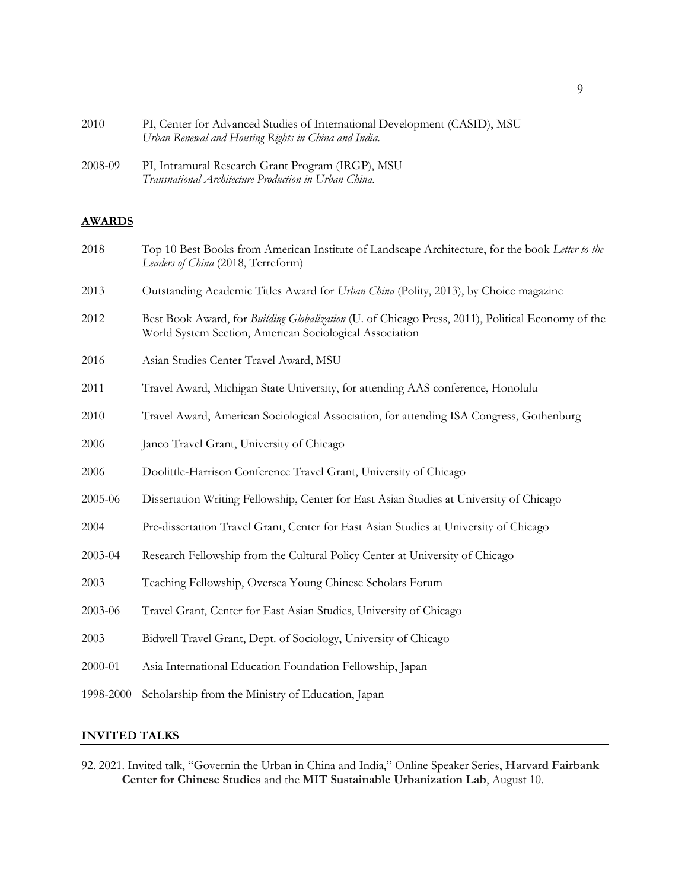| 2010 | PI, Center for Advanced Studies of International Development (CASID), MSU |
|------|---------------------------------------------------------------------------|
|      | Urban Renewal and Housing Rights in China and India.                      |

2008-09 PI, Intramural Research Grant Program (IRGP), MSU *Transnational Architecture Production in Urban China*.

# **AWARDS**

| 2018      | Top 10 Best Books from American Institute of Landscape Architecture, for the book Letter to the<br>Leaders of China (2018, Terreform)                        |
|-----------|--------------------------------------------------------------------------------------------------------------------------------------------------------------|
| 2013      | Outstanding Academic Titles Award for Urban China (Polity, 2013), by Choice magazine                                                                         |
| 2012      | Best Book Award, for Building Globalization (U. of Chicago Press, 2011), Political Economy of the<br>World System Section, American Sociological Association |
| 2016      | Asian Studies Center Travel Award, MSU                                                                                                                       |
| 2011      | Travel Award, Michigan State University, for attending AAS conference, Honolulu                                                                              |
| 2010      | Travel Award, American Sociological Association, for attending ISA Congress, Gothenburg                                                                      |
| 2006      | Janco Travel Grant, University of Chicago                                                                                                                    |
| 2006      | Doolittle-Harrison Conference Travel Grant, University of Chicago                                                                                            |
| 2005-06   | Dissertation Writing Fellowship, Center for East Asian Studies at University of Chicago                                                                      |
| 2004      | Pre-dissertation Travel Grant, Center for East Asian Studies at University of Chicago                                                                        |
| 2003-04   | Research Fellowship from the Cultural Policy Center at University of Chicago                                                                                 |
| 2003      | Teaching Fellowship, Oversea Young Chinese Scholars Forum                                                                                                    |
| 2003-06   | Travel Grant, Center for East Asian Studies, University of Chicago                                                                                           |
| 2003      | Bidwell Travel Grant, Dept. of Sociology, University of Chicago                                                                                              |
| 2000-01   | Asia International Education Foundation Fellowship, Japan                                                                                                    |
| 1998-2000 | Scholarship from the Ministry of Education, Japan                                                                                                            |
|           |                                                                                                                                                              |

# **INVITED TALKS**

92. 2021. Invited talk, "Governin the Urban in China and India," Online Speaker Series, **Harvard Fairbank Center for Chinese Studies** and the **MIT Sustainable Urbanization Lab**, August 10.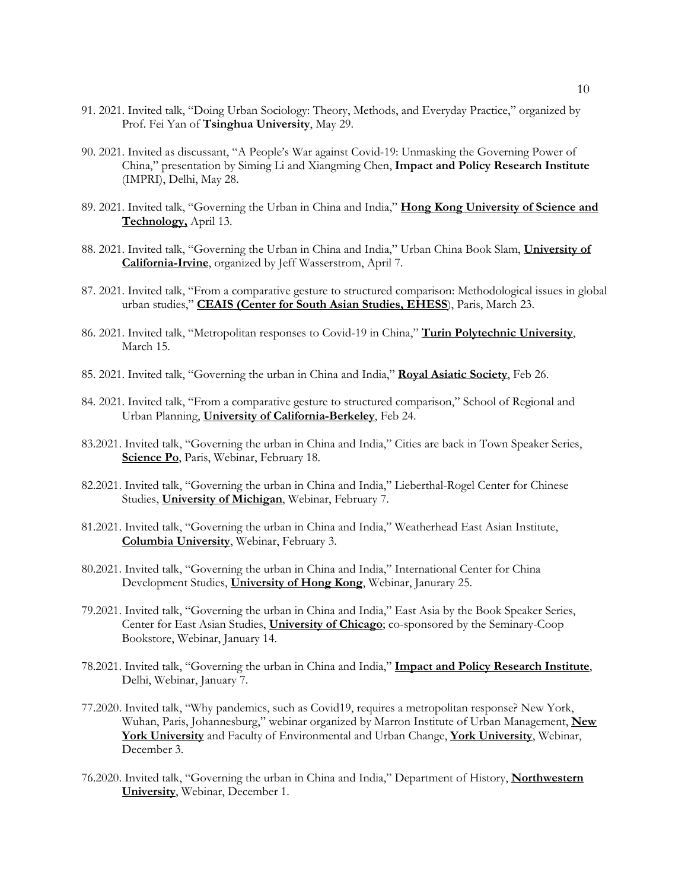- 91. 2021. Invited talk, "Doing Urban Sociology: Theory, Methods, and Everyday Practice," organized by Prof. Fei Yan of **Tsinghua University**, May 29.
- 90. 2021. Invited as discussant, "A People's War against Covid-19: Unmasking the Governing Power of China," presentation by Siming Li and Xiangming Chen, **Impact and Policy Research Institute** (IMPRI), Delhi, May 28.
- 89. 2021. Invited talk, "Governing the Urban in China and India," **Hong Kong University of Science and Technology,** April 13.
- 88. 2021. Invited talk, "Governing the Urban in China and India," Urban China Book Slam, **University of California-Irvine**, organized by Jeff Wasserstrom, April 7.
- 87. 2021. Invited talk, "From a comparative gesture to structured comparison: Methodological issues in global urban studies," **CEAIS (Center for South Asian Studies, EHESS**), Paris, March 23.
- 86. 2021. Invited talk, "Metropolitan responses to Covid-19 in China," **Turin Polytechnic University**, March 15.
- 85. 2021. Invited talk, "Governing the urban in China and India," **Royal Asiatic Society**, Feb 26.
- 84. 2021. Invited talk, "From a comparative gesture to structured comparison," School of Regional and Urban Planning, **University of California-Berkeley**, Feb 24.
- 83.2021. Invited talk, "Governing the urban in China and India," Cities are back in Town Speaker Series, **Science Po**, Paris, Webinar, February 18.
- 82.2021. Invited talk, "Governing the urban in China and India," Lieberthal-Rogel Center for Chinese Studies, **University of Michigan**, Webinar, February 7.
- 81.2021. Invited talk, "Governing the urban in China and India," Weatherhead East Asian Institute, **Columbia University**, Webinar, February 3.
- 80.2021. Invited talk, "Governing the urban in China and India," International Center for China Development Studies, **University of Hong Kong**, Webinar, Janurary 25.
- 79.2021. Invited talk, "Governing the urban in China and India," East Asia by the Book Speaker Series, Center for East Asian Studies, **University of Chicago**; co-sponsored by the Seminary-Coop Bookstore, Webinar, January 14.
- 78.2021. Invited talk, "Governing the urban in China and India," **Impact and Policy Research Institute**, Delhi, Webinar, January 7.
- 77.2020. Invited talk, "Why pandemics, such as Covid19, requires a metropolitan response? New York, Wuhan, Paris, Johannesburg," webinar organized by Marron Institute of Urban Management, **New York University** and Faculty of Environmental and Urban Change, **York University**, Webinar, December 3.
- 76.2020. Invited talk, "Governing the urban in China and India," Department of History, **Northwestern University**, Webinar, December 1.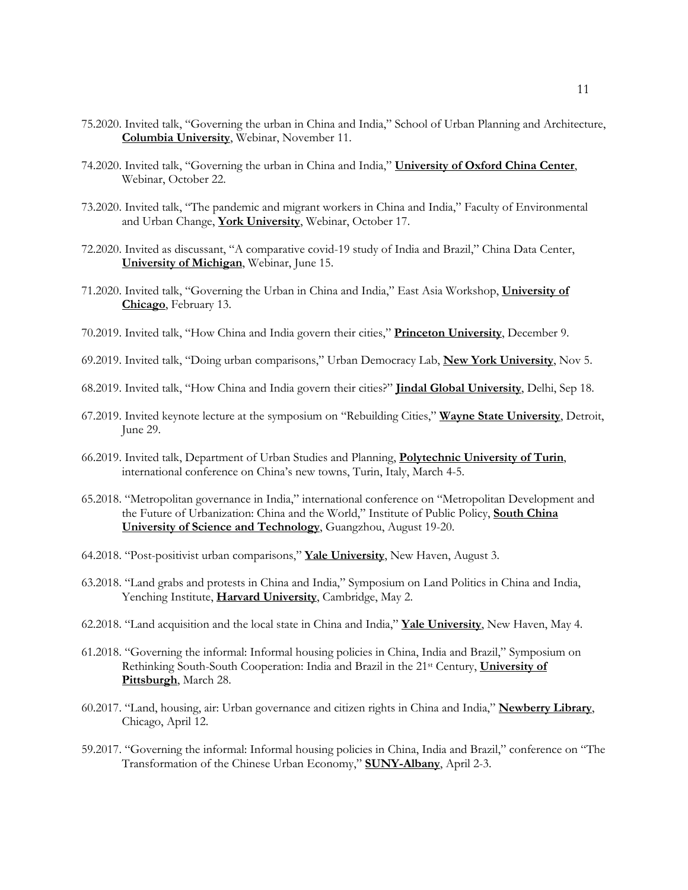- 75.2020. Invited talk, "Governing the urban in China and India," School of Urban Planning and Architecture, **Columbia University**, Webinar, November 11.
- 74.2020. Invited talk, "Governing the urban in China and India," **University of Oxford China Center**, Webinar, October 22.
- 73.2020. Invited talk, "The pandemic and migrant workers in China and India," Faculty of Environmental and Urban Change, **York University**, Webinar, October 17.
- 72.2020. Invited as discussant, "A comparative covid-19 study of India and Brazil," China Data Center, **University of Michigan**, Webinar, June 15.
- 71.2020. Invited talk, "Governing the Urban in China and India," East Asia Workshop, **University of Chicago**, February 13.
- 70.2019. Invited talk, "How China and India govern their cities," **Princeton University**, December 9.
- 69.2019. Invited talk, "Doing urban comparisons," Urban Democracy Lab, **New York University**, Nov 5.
- 68.2019. Invited talk, "How China and India govern their cities?" **Jindal Global University**, Delhi, Sep 18.
- 67.2019. Invited keynote lecture at the symposium on "Rebuilding Cities," **Wayne State University**, Detroit, June 29.
- 66.2019. Invited talk, Department of Urban Studies and Planning, **Polytechnic University of Turin**, international conference on China's new towns, Turin, Italy, March 4-5.
- 65.2018. "Metropolitan governance in India," international conference on "Metropolitan Development and the Future of Urbanization: China and the World," Institute of Public Policy, **South China University of Science and Technology**, Guangzhou, August 19-20.
- 64.2018. "Post-positivist urban comparisons," **Yale University**, New Haven, August 3.
- 63.2018. "Land grabs and protests in China and India," Symposium on Land Politics in China and India, Yenching Institute, **Harvard University**, Cambridge, May 2.
- 62.2018. "Land acquisition and the local state in China and India," **Yale University**, New Haven, May 4.
- 61.2018. "Governing the informal: Informal housing policies in China, India and Brazil," Symposium on Rethinking South-South Cooperation: India and Brazil in the 21st Century, **University of Pittsburgh**, March 28.
- 60.2017. "Land, housing, air: Urban governance and citizen rights in China and India," **Newberry Library**, Chicago, April 12.
- 59.2017. "Governing the informal: Informal housing policies in China, India and Brazil," conference on "The Transformation of the Chinese Urban Economy," **SUNY-Albany**, April 2-3.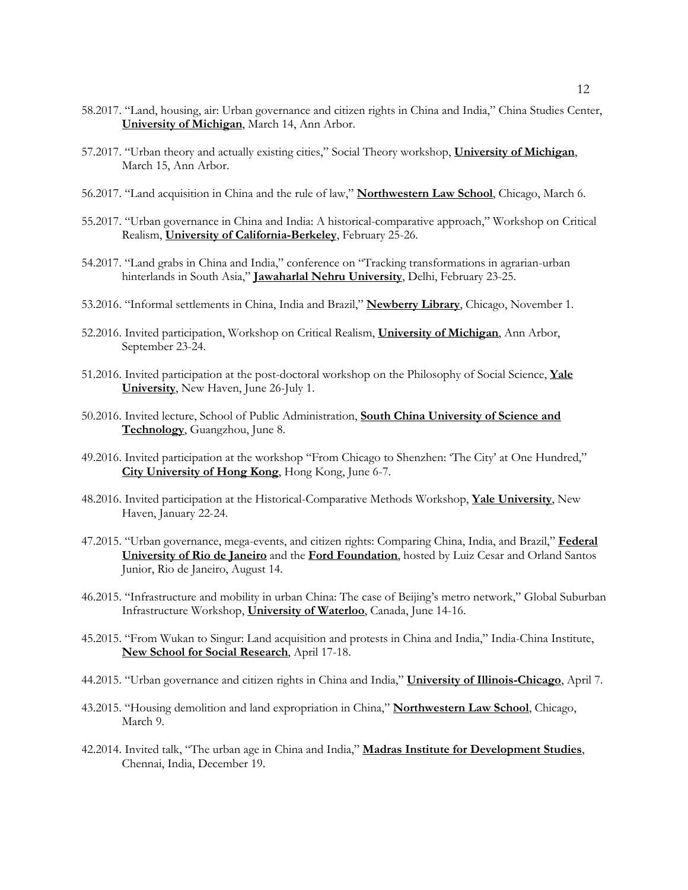- 58.2017. "Land, housing, air: Urban governance and citizen rights in China and India," China Studies Center, **University of Michigan**, March 14, Ann Arbor.
- 57.2017. "Urban theory and actually existing cities," Social Theory workshop, **University of Michigan**, March 15, Ann Arbor.
- 56.2017. "Land acquisition in China and the rule of law," **Northwestern Law School**, Chicago, March 6.
- 55.2017. "Urban governance in China and India: A historical-comparative approach," Workshop on Critical Realism, **University of California-Berkeley**, February 25-26.
- 54.2017. "Land grabs in China and India," conference on "Tracking transformations in agrarian-urban hinterlands in South Asia," **Jawaharlal Nehru University**, Delhi, February 23-25.
- 53.2016. "Informal settlements in China, India and Brazil," **Newberry Library**, Chicago, November 1.
- 52.2016. Invited participation, Workshop on Critical Realism, **University of Michigan**, Ann Arbor, September 23-24.
- 51.2016. Invited participation at the post-doctoral workshop on the Philosophy of Social Science, **Yale University**, New Haven, June 26-July 1.
- 50.2016. Invited lecture, School of Public Administration, **South China University of Science and Technology**, Guangzhou, June 8.
- 49.2016. Invited participation at the workshop "From Chicago to Shenzhen: 'The City' at One Hundred," **City University of Hong Kong**, Hong Kong, June 6-7.
- 48.2016. Invited participation at the Historical-Comparative Methods Workshop, **Yale University**, New Haven, January 22-24.
- 47.2015. "Urban governance, mega-events, and citizen rights: Comparing China, India, and Brazil," **Federal University of Rio de Janeiro** and the **Ford Foundation**, hosted by Luiz Cesar and Orland Santos Junior, Rio de Janeiro, August 14.
- 46.2015. "Infrastructure and mobility in urban China: The case of Beijing's metro network," Global Suburban Infrastructure Workshop, **University of Waterloo**, Canada, June 14-16.
- 45.2015. "From Wukan to Singur: Land acquisition and protests in China and India," India-China Institute, **New School for Social Research**, April 17-18.
- 44.2015. "Urban governance and citizen rights in China and India," **University of Illinois-Chicago**, April 7.
- 43.2015. "Housing demolition and land expropriation in China," **Northwestern Law School**, Chicago, March 9.
- 42.2014. Invited talk, "The urban age in China and India," **Madras Institute for Development Studies**, Chennai, India, December 19.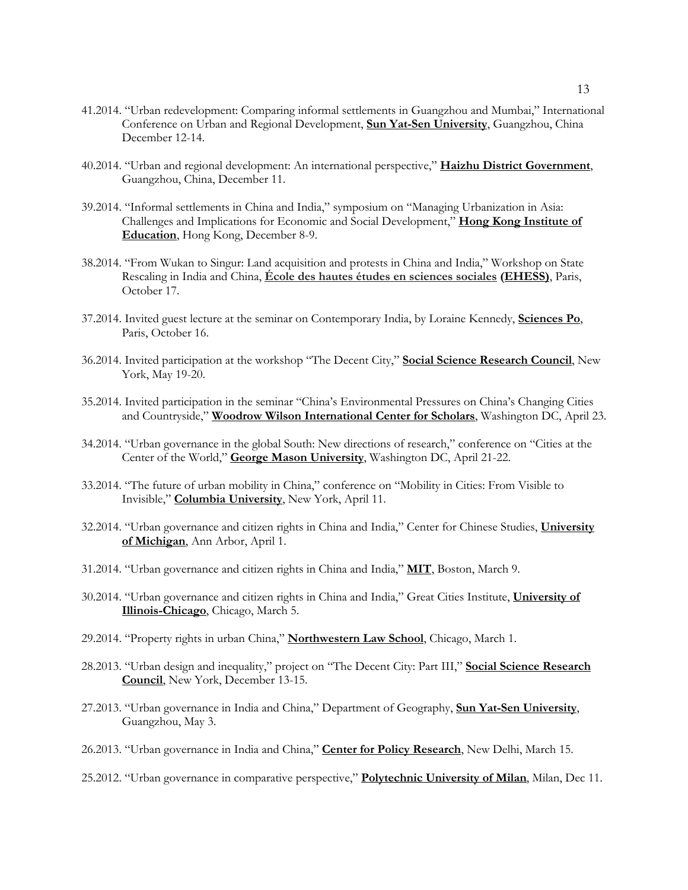- 41.2014. "Urban redevelopment: Comparing informal settlements in Guangzhou and Mumbai," International Conference on Urban and Regional Development, **Sun Yat-Sen University**, Guangzhou, China December 12-14.
- 40.2014. "Urban and regional development: An international perspective," **Haizhu District Government**, Guangzhou, China, December 11.
- 39.2014. "Informal settlements in China and India," symposium on "Managing Urbanization in Asia: Challenges and Implications for Economic and Social Development," **Hong Kong Institute of Education**, Hong Kong, December 8-9.
- 38.2014. "From Wukan to Singur: Land acquisition and protests in China and India," Workshop on State Rescaling in India and China, **École des hautes études en sciences sociales (EHESS)**, Paris, October 17.
- 37.2014. Invited guest lecture at the seminar on Contemporary India, by Loraine Kennedy, **Sciences Po**, Paris, October 16.
- 36.2014. Invited participation at the workshop "The Decent City," **Social Science Research Council**, New York, May 19-20.
- 35.2014. Invited participation in the seminar "China's Environmental Pressures on China's Changing Cities and Countryside," **Woodrow Wilson International Center for Scholars**, Washington DC, April 23.
- 34.2014. "Urban governance in the global South: New directions of research," conference on "Cities at the Center of the World," **George Mason University**, Washington DC, April 21-22.
- 33.2014. "The future of urban mobility in China," conference on "Mobility in Cities: From Visible to Invisible," **Columbia University**, New York, April 11.
- 32.2014. "Urban governance and citizen rights in China and India," Center for Chinese Studies, **University of Michigan**, Ann Arbor, April 1.
- 31.2014. "Urban governance and citizen rights in China and India," **MIT**, Boston, March 9.
- 30.2014. "Urban governance and citizen rights in China and India," Great Cities Institute, **University of Illinois-Chicago**, Chicago, March 5.
- 29.2014. "Property rights in urban China," **Northwestern Law School**, Chicago, March 1.
- 28.2013. "Urban design and inequality," project on "The Decent City: Part III," **Social Science Research Council**, New York, December 13-15.
- 27.2013. "Urban governance in India and China," Department of Geography, **Sun Yat-Sen University**, Guangzhou, May 3.
- 26.2013. "Urban governance in India and China," **Center for Policy Research**, New Delhi, March 15.
- 25.2012. "Urban governance in comparative perspective," **Polytechnic University of Milan**, Milan, Dec 11.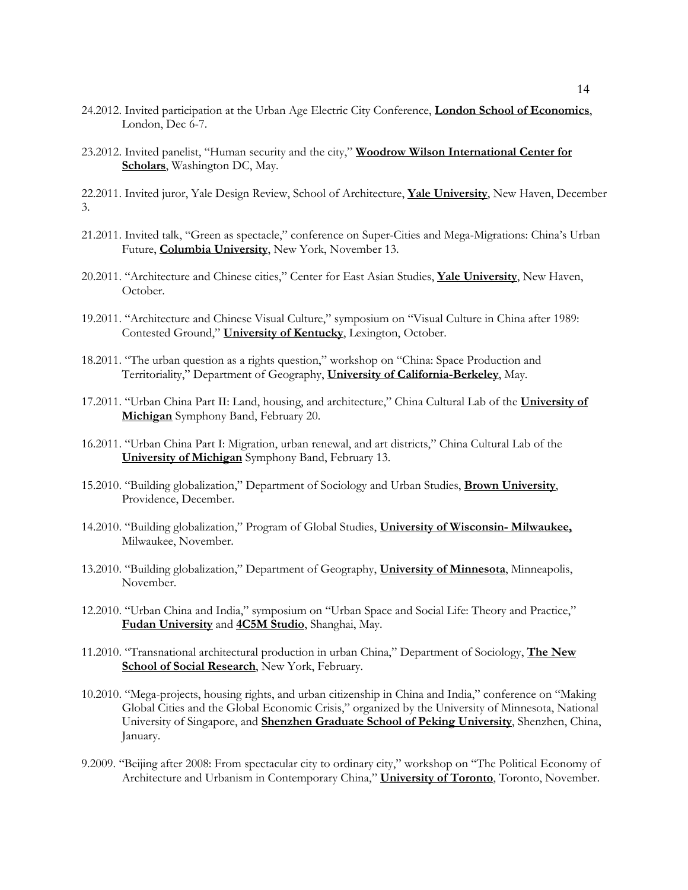- 24.2012. Invited participation at the Urban Age Electric City Conference, **London School of Economics**, London, Dec 6-7.
- 23.2012. Invited panelist, "Human security and the city," **Woodrow Wilson International Center for Scholars**, Washington DC, May.

22.2011. Invited juror, Yale Design Review, School of Architecture, **Yale University**, New Haven, December 3.

- 21.2011. Invited talk, "Green as spectacle," conference on Super-Cities and Mega-Migrations: China's Urban Future, **Columbia University**, New York, November 13.
- 20.2011. "Architecture and Chinese cities," Center for East Asian Studies, **Yale University**, New Haven, October.
- 19.2011. "Architecture and Chinese Visual Culture," symposium on "Visual Culture in China after 1989: Contested Ground," **University of Kentucky**, Lexington, October.
- 18.2011. "The urban question as a rights question," workshop on "China: Space Production and Territoriality," Department of Geography, **University of California-Berkeley**, May.
- 17.2011. "Urban China Part II: Land, housing, and architecture," China Cultural Lab of the **University of Michigan** Symphony Band, February 20.
- 16.2011. "Urban China Part I: Migration, urban renewal, and art districts," China Cultural Lab of the **University of Michigan** Symphony Band, February 13.
- 15.2010. "Building globalization," Department of Sociology and Urban Studies, **Brown University**, Providence, December.
- 14.2010. "Building globalization," Program of Global Studies, **University of Wisconsin- Milwaukee,** Milwaukee, November.
- 13.2010. "Building globalization," Department of Geography, **University of Minnesota**, Minneapolis, November.
- 12.2010. "Urban China and India," symposium on "Urban Space and Social Life: Theory and Practice," **Fudan University** and **4C5M Studio**, Shanghai, May.
- 11.2010. "Transnational architectural production in urban China," Department of Sociology, **The New School of Social Research**, New York, February.
- 10.2010. "Mega-projects, housing rights, and urban citizenship in China and India," conference on "Making Global Cities and the Global Economic Crisis," organized by the University of Minnesota, National University of Singapore, and **Shenzhen Graduate School of Peking University**, Shenzhen, China, January.
- 9.2009. "Beijing after 2008: From spectacular city to ordinary city," workshop on "The Political Economy of Architecture and Urbanism in Contemporary China," **University of Toronto**, Toronto, November.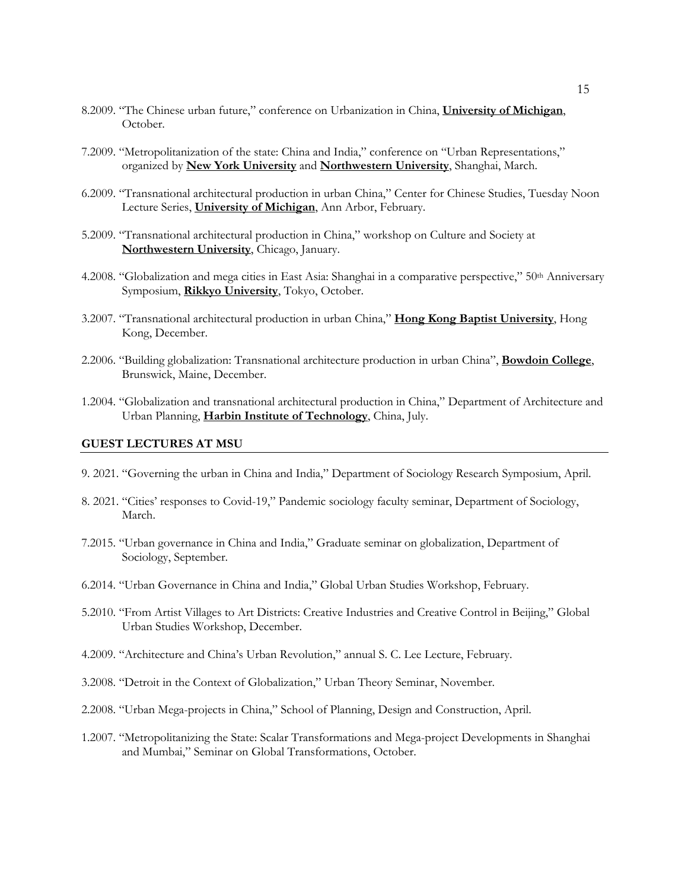- 8.2009. "The Chinese urban future," conference on Urbanization in China, **University of Michigan**, October.
- 7.2009. "Metropolitanization of the state: China and India," conference on "Urban Representations," organized by **New York University** and **Northwestern University**, Shanghai, March.
- 6.2009. "Transnational architectural production in urban China," Center for Chinese Studies, Tuesday Noon Lecture Series, **University of Michigan**, Ann Arbor, February.
- 5.2009. "Transnational architectural production in China," workshop on Culture and Society at **Northwestern University**, Chicago, January.
- 4.2008. "Globalization and mega cities in East Asia: Shanghai in a comparative perspective," 50th Anniversary Symposium, **Rikkyo University**, Tokyo, October.
- 3.2007. "Transnational architectural production in urban China," **Hong Kong Baptist University**, Hong Kong, December.
- 2.2006. "Building globalization: Transnational architecture production in urban China", **Bowdoin College**, Brunswick, Maine, December.
- 1.2004. "Globalization and transnational architectural production in China," Department of Architecture and Urban Planning, **Harbin Institute of Technology**, China, July.

#### **GUEST LECTURES AT MSU**

- 9. 2021. "Governing the urban in China and India," Department of Sociology Research Symposium, April.
- 8. 2021. "Cities' responses to Covid-19," Pandemic sociology faculty seminar, Department of Sociology, March.
- 7.2015. "Urban governance in China and India," Graduate seminar on globalization, Department of Sociology, September.
- 6.2014. "Urban Governance in China and India," Global Urban Studies Workshop, February.
- 5.2010. "From Artist Villages to Art Districts: Creative Industries and Creative Control in Beijing," Global Urban Studies Workshop, December.
- 4.2009. "Architecture and China's Urban Revolution," annual S. C. Lee Lecture, February.
- 3.2008. "Detroit in the Context of Globalization," Urban Theory Seminar, November.
- 2.2008. "Urban Mega-projects in China," School of Planning, Design and Construction, April.
- 1.2007. "Metropolitanizing the State: Scalar Transformations and Mega-project Developments in Shanghai and Mumbai," Seminar on Global Transformations, October.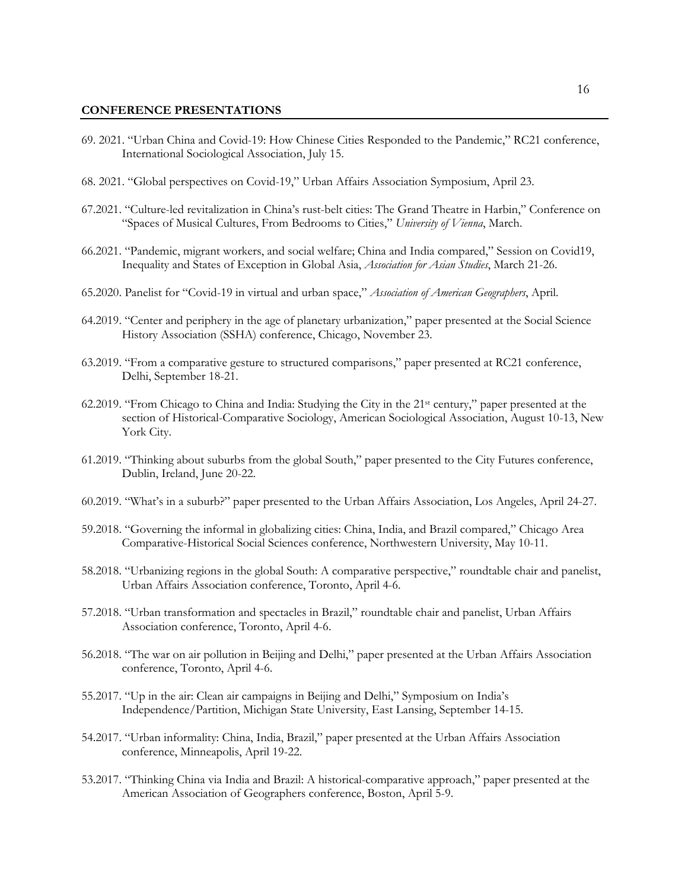#### **CONFERENCE PRESENTATIONS**

- 69. 2021. "Urban China and Covid-19: How Chinese Cities Responded to the Pandemic," RC21 conference, International Sociological Association, July 15.
- 68. 2021. "Global perspectives on Covid-19," Urban Affairs Association Symposium, April 23.
- 67.2021. "Culture-led revitalization in China's rust-belt cities: The Grand Theatre in Harbin," Conference on "Spaces of Musical Cultures, From Bedrooms to Cities," *University of Vienna*, March.
- 66.2021. "Pandemic, migrant workers, and social welfare; China and India compared," Session on Covid19, Inequality and States of Exception in Global Asia, *Association for Asian Studies*, March 21-26.
- 65.2020. Panelist for "Covid-19 in virtual and urban space," *Association of American Geographers*, April.
- 64.2019. "Center and periphery in the age of planetary urbanization," paper presented at the Social Science History Association (SSHA) conference, Chicago, November 23.
- 63.2019. "From a comparative gesture to structured comparisons," paper presented at RC21 conference, Delhi, September 18-21.
- 62.2019. "From Chicago to China and India: Studying the City in the 21st century," paper presented at the section of Historical-Comparative Sociology, American Sociological Association, August 10-13, New York City.
- 61.2019. "Thinking about suburbs from the global South," paper presented to the City Futures conference, Dublin, Ireland, June 20-22.
- 60.2019. "What's in a suburb?" paper presented to the Urban Affairs Association, Los Angeles, April 24-27.
- 59.2018. "Governing the informal in globalizing cities: China, India, and Brazil compared," Chicago Area Comparative-Historical Social Sciences conference, Northwestern University, May 10-11.
- 58.2018. "Urbanizing regions in the global South: A comparative perspective," roundtable chair and panelist, Urban Affairs Association conference, Toronto, April 4-6.
- 57.2018. "Urban transformation and spectacles in Brazil," roundtable chair and panelist, Urban Affairs Association conference, Toronto, April 4-6.
- 56.2018. "The war on air pollution in Beijing and Delhi," paper presented at the Urban Affairs Association conference, Toronto, April 4-6.
- 55.2017. "Up in the air: Clean air campaigns in Beijing and Delhi," Symposium on India's Independence/Partition, Michigan State University, East Lansing, September 14-15.
- 54.2017. "Urban informality: China, India, Brazil," paper presented at the Urban Affairs Association conference, Minneapolis, April 19-22.
- 53.2017. "Thinking China via India and Brazil: A historical-comparative approach," paper presented at the American Association of Geographers conference, Boston, April 5-9.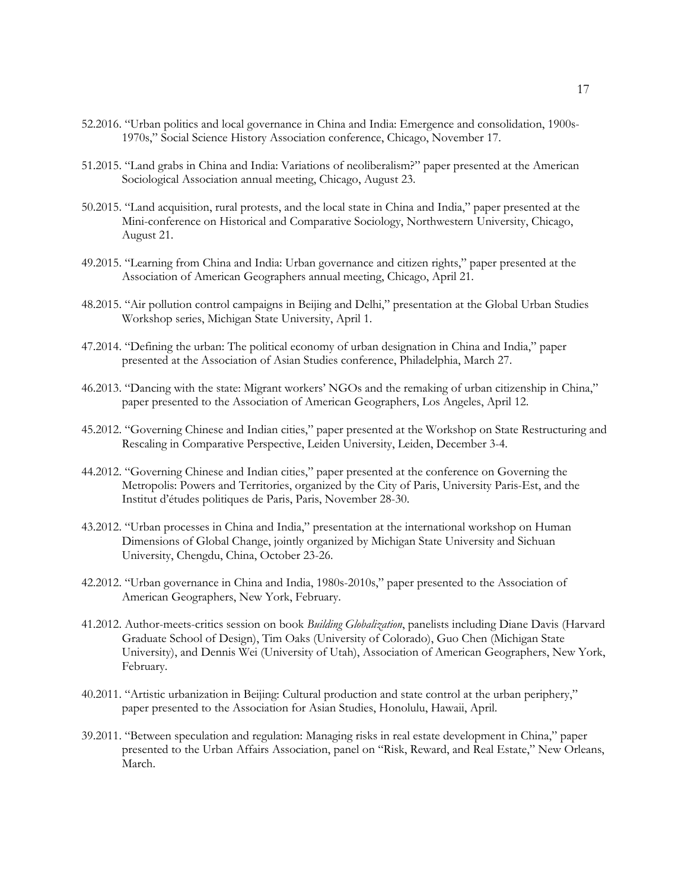- 52.2016. "Urban politics and local governance in China and India: Emergence and consolidation, 1900s-1970s," Social Science History Association conference, Chicago, November 17.
- 51.2015. "Land grabs in China and India: Variations of neoliberalism?" paper presented at the American Sociological Association annual meeting, Chicago, August 23.
- 50.2015. "Land acquisition, rural protests, and the local state in China and India," paper presented at the Mini-conference on Historical and Comparative Sociology, Northwestern University, Chicago, August 21.
- 49.2015. "Learning from China and India: Urban governance and citizen rights," paper presented at the Association of American Geographers annual meeting, Chicago, April 21.
- 48.2015. "Air pollution control campaigns in Beijing and Delhi," presentation at the Global Urban Studies Workshop series, Michigan State University, April 1.
- 47.2014. "Defining the urban: The political economy of urban designation in China and India," paper presented at the Association of Asian Studies conference, Philadelphia, March 27.
- 46.2013. "Dancing with the state: Migrant workers' NGOs and the remaking of urban citizenship in China," paper presented to the Association of American Geographers, Los Angeles, April 12.
- 45.2012. "Governing Chinese and Indian cities," paper presented at the Workshop on State Restructuring and Rescaling in Comparative Perspective, Leiden University, Leiden, December 3-4.
- 44.2012. "Governing Chinese and Indian cities," paper presented at the conference on Governing the Metropolis: Powers and Territories, organized by the City of Paris, University Paris-Est, and the Institut d'études politiques de Paris, Paris, November 28-30.
- 43.2012. "Urban processes in China and India," presentation at the international workshop on Human Dimensions of Global Change, jointly organized by Michigan State University and Sichuan University, Chengdu, China, October 23-26.
- 42.2012. "Urban governance in China and India, 1980s-2010s," paper presented to the Association of American Geographers, New York, February.
- 41.2012. Author-meets-critics session on book *Building Globalization*, panelists including Diane Davis (Harvard Graduate School of Design), Tim Oaks (University of Colorado), Guo Chen (Michigan State University), and Dennis Wei (University of Utah), Association of American Geographers, New York, February.
- 40.2011. "Artistic urbanization in Beijing: Cultural production and state control at the urban periphery," paper presented to the Association for Asian Studies, Honolulu, Hawaii, April.
- 39.2011. "Between speculation and regulation: Managing risks in real estate development in China," paper presented to the Urban Affairs Association, panel on "Risk, Reward, and Real Estate," New Orleans, March.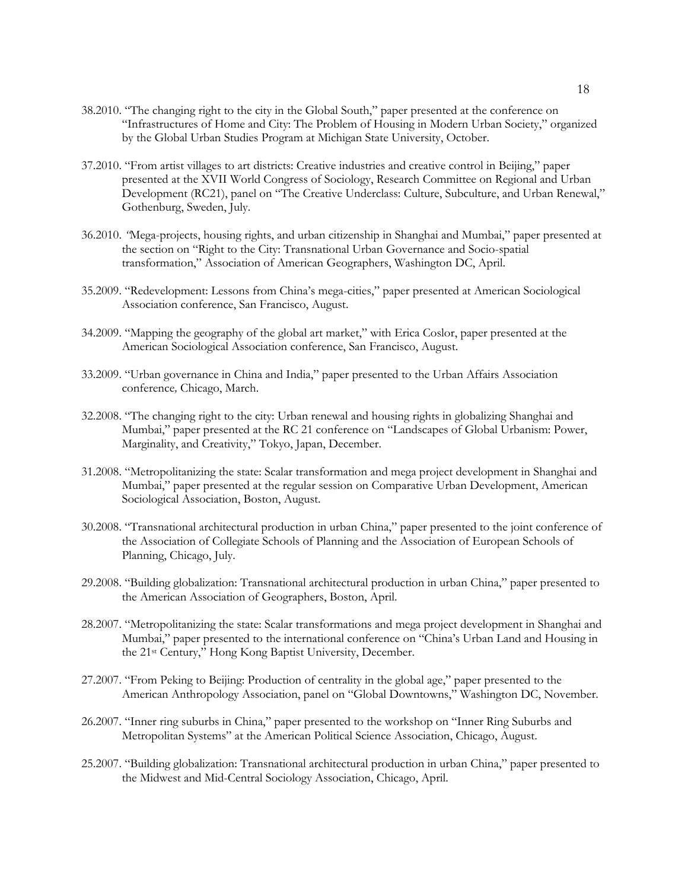- 38.2010. "The changing right to the city in the Global South," paper presented at the conference on "Infrastructures of Home and City: The Problem of Housing in Modern Urban Society," organized by the Global Urban Studies Program at Michigan State University, October.
- 37.2010. "From artist villages to art districts: Creative industries and creative control in Beijing," paper presented at the XVII World Congress of Sociology, Research Committee on Regional and Urban Development (RC21), panel on "The Creative Underclass: Culture, Subculture, and Urban Renewal," Gothenburg, Sweden, July.
- 36.2010. *"*Mega-projects, housing rights, and urban citizenship in Shanghai and Mumbai," paper presented at the section on "Right to the City: Transnational Urban Governance and Socio-spatial transformation," Association of American Geographers, Washington DC, April.
- 35.2009. "Redevelopment: Lessons from China's mega-cities," paper presented at American Sociological Association conference, San Francisco, August.
- 34.2009. "Mapping the geography of the global art market," with Erica Coslor, paper presented at the American Sociological Association conference, San Francisco, August.
- 33.2009. "Urban governance in China and India," paper presented to the Urban Affairs Association conference*,* Chicago, March.
- 32.2008. "The changing right to the city: Urban renewal and housing rights in globalizing Shanghai and Mumbai," paper presented at the RC 21 conference on "Landscapes of Global Urbanism: Power, Marginality, and Creativity," Tokyo, Japan, December.
- 31.2008. "Metropolitanizing the state: Scalar transformation and mega project development in Shanghai and Mumbai," paper presented at the regular session on Comparative Urban Development, American Sociological Association, Boston, August.
- 30.2008. "Transnational architectural production in urban China," paper presented to the joint conference of the Association of Collegiate Schools of Planning and the Association of European Schools of Planning, Chicago, July.
- 29.2008. "Building globalization: Transnational architectural production in urban China," paper presented to the American Association of Geographers, Boston, April.
- 28.2007. "Metropolitanizing the state: Scalar transformations and mega project development in Shanghai and Mumbai," paper presented to the international conference on "China's Urban Land and Housing in the 21st Century," Hong Kong Baptist University, December.
- 27.2007. "From Peking to Beijing: Production of centrality in the global age," paper presented to the American Anthropology Association, panel on "Global Downtowns," Washington DC, November.
- 26.2007. "Inner ring suburbs in China," paper presented to the workshop on "Inner Ring Suburbs and Metropolitan Systems" at the American Political Science Association, Chicago, August.
- 25.2007. "Building globalization: Transnational architectural production in urban China," paper presented to the Midwest and Mid-Central Sociology Association, Chicago, April.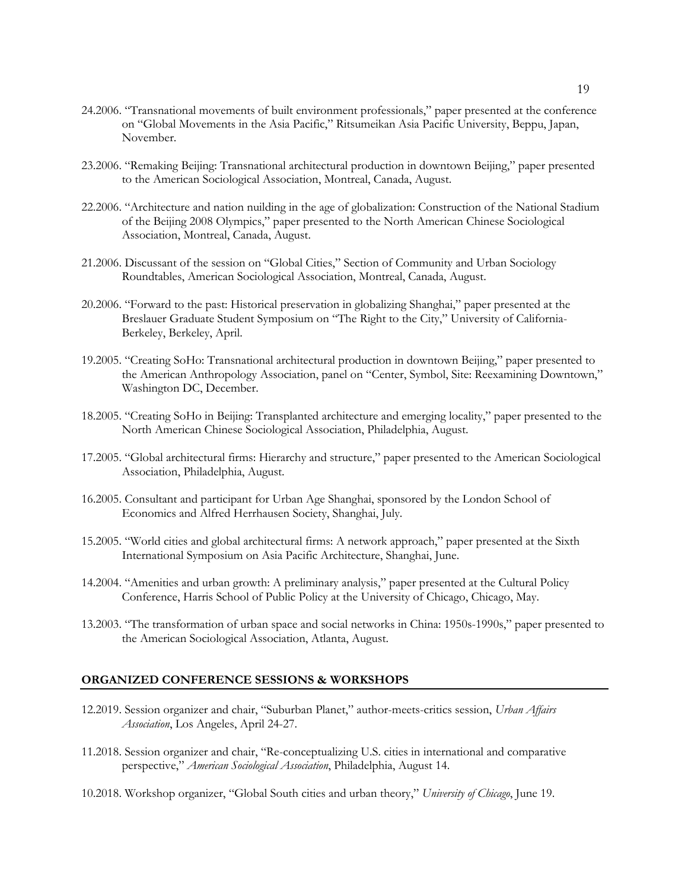- 24.2006. "Transnational movements of built environment professionals," paper presented at the conference on "Global Movements in the Asia Pacific," Ritsumeikan Asia Pacific University, Beppu, Japan, November.
- 23.2006. "Remaking Beijing: Transnational architectural production in downtown Beijing," paper presented to the American Sociological Association, Montreal, Canada, August.
- 22.2006. "Architecture and nation nuilding in the age of globalization: Construction of the National Stadium of the Beijing 2008 Olympics," paper presented to the North American Chinese Sociological Association, Montreal, Canada, August.
- 21.2006. Discussant of the session on "Global Cities," Section of Community and Urban Sociology Roundtables, American Sociological Association, Montreal, Canada, August.
- 20.2006. "Forward to the past: Historical preservation in globalizing Shanghai," paper presented at the Breslauer Graduate Student Symposium on "The Right to the City," University of California-Berkeley, Berkeley, April.
- 19.2005. "Creating SoHo: Transnational architectural production in downtown Beijing," paper presented to the American Anthropology Association, panel on "Center, Symbol, Site: Reexamining Downtown," Washington DC, December.
- 18.2005. "Creating SoHo in Beijing: Transplanted architecture and emerging locality," paper presented to the North American Chinese Sociological Association, Philadelphia, August.
- 17.2005. "Global architectural firms: Hierarchy and structure," paper presented to the American Sociological Association, Philadelphia, August.
- 16.2005. Consultant and participant for Urban Age Shanghai, sponsored by the London School of Economics and Alfred Herrhausen Society, Shanghai, July.
- 15.2005. "World cities and global architectural firms: A network approach," paper presented at the Sixth International Symposium on Asia Pacific Architecture, Shanghai, June.
- 14.2004. "Amenities and urban growth: A preliminary analysis," paper presented at the Cultural Policy Conference, Harris School of Public Policy at the University of Chicago, Chicago, May.
- 13.2003. "The transformation of urban space and social networks in China: 1950s-1990s," paper presented to the American Sociological Association, Atlanta, August.

### **ORGANIZED CONFERENCE SESSIONS & WORKSHOPS**

- 12.2019. Session organizer and chair, "Suburban Planet," author-meets-critics session, *Urban Affairs Association*, Los Angeles, April 24-27.
- 11.2018. Session organizer and chair, "Re-conceptualizing U.S. cities in international and comparative perspective," *American Sociological Association*, Philadelphia, August 14.
- 10.2018. Workshop organizer, "Global South cities and urban theory," *University of Chicago*, June 19.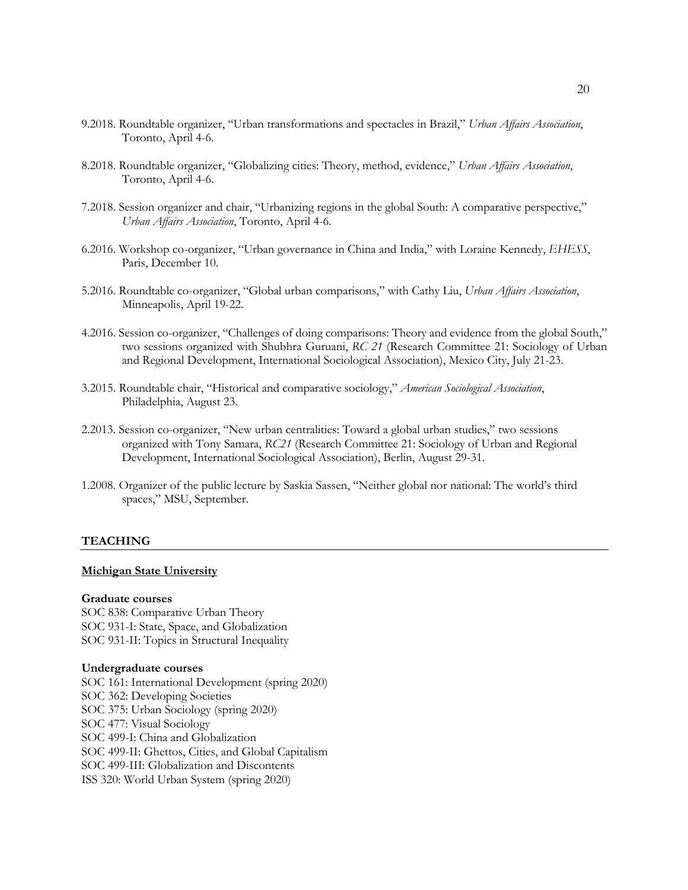- 9.2018. Roundtable organizer, "Urban transformations and spectacles in Brazil," *Urban Affairs Association*, Toronto, April 4-6.
- 8.2018. Roundtable organizer, "Globalizing cities: Theory, method, evidence," *Urban Affairs Association*, Toronto, April 4-6.
- 7.2018. Session organizer and chair, "Urbanizing regions in the global South: A comparative perspective," *Urban Affairs Association*, Toronto, April 4-6.
- 6.2016. Workshop co-organizer, "Urban governance in China and India," with Loraine Kennedy, *EHESS*, Paris, December 10.
- 5.2016. Roundtable co-organizer, "Global urban comparisons," with Cathy Liu, *Urban Affairs Association*, Minneapolis, April 19-22.
- 4.2016. Session co-organizer, "Challenges of doing comparisons: Theory and evidence from the global South," two sessions organized with Shubhra Guruani, *RC 21* (Research Committee 21: Sociology of Urban and Regional Development, International Sociological Association), Mexico City, July 21-23.
- 3.2015. Roundtable chair, "Historical and comparative sociology," *American Sociological Association*, Philadelphia, August 23.
- 2.2013. Session co-organizer, "New urban centralities: Toward a global urban studies," two sessions organized with Tony Samara, *RC21* (Research Committee 21: Sociology of Urban and Regional Development, International Sociological Association), Berlin, August 29-31.
- 1.2008. Organizer of the public lecture by Saskia Sassen, "Neither global nor national: The world's third spaces," MSU, September.

#### **TEACHING**

#### **Michigan State University**

#### **Graduate courses**

SOC 838: Comparative Urban Theory SOC 931-I: State, Space, and Globalization SOC 931-II: Topics in Structural Inequality

#### **Undergraduate courses**

SOC 161: International Development (spring 2020) SOC 362: Developing Societies SOC 375: Urban Sociology (spring 2020) SOC 477: Visual Sociology SOC 499-I: China and Globalization SOC 499-II: Ghettos, Cities, and Global Capitalism SOC 499-III: Globalization and Discontents ISS 320: World Urban System (spring 2020)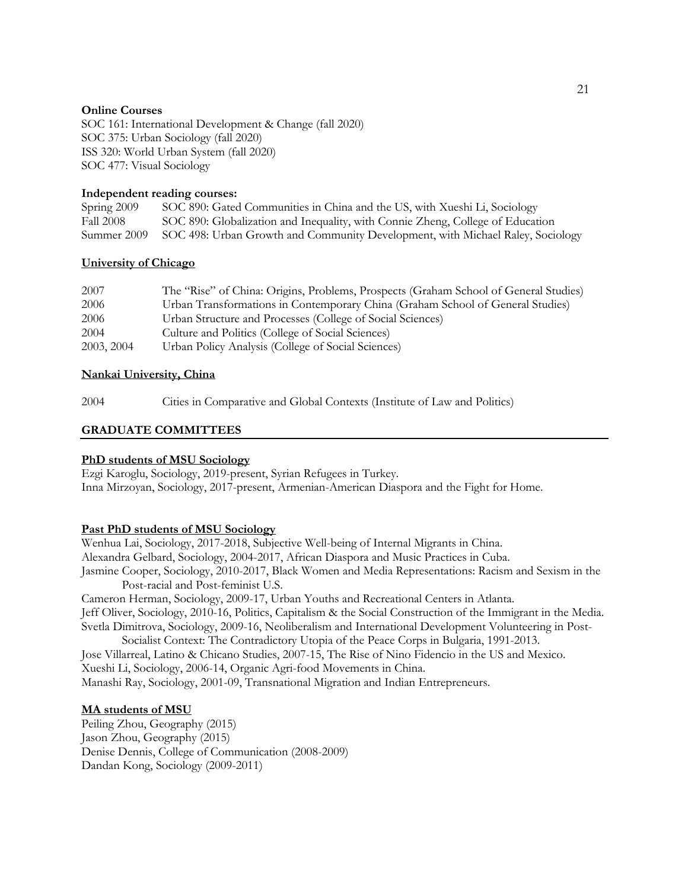### **Online Courses**

SOC 161: International Development & Change (fall 2020) SOC 375: Urban Sociology (fall 2020) ISS 320: World Urban System (fall 2020) SOC 477: Visual Sociology

### **Independent reading courses:**

| Spring 2009 | SOC 890: Gated Communities in China and the US, with Xueshi Li, Sociology                  |
|-------------|--------------------------------------------------------------------------------------------|
| Fall 2008   | SOC 890: Globalization and Inequality, with Connie Zheng, College of Education             |
|             | Summer 2009 SOC 498: Urban Growth and Community Development, with Michael Raley, Sociology |

### **University of Chicago**

| 2007       | The "Rise" of China: Origins, Problems, Prospects (Graham School of General Studies) |
|------------|--------------------------------------------------------------------------------------|
| 2006       | Urban Transformations in Contemporary China (Graham School of General Studies)       |
| 2006       | Urban Structure and Processes (College of Social Sciences)                           |
| 2004       | Culture and Politics (College of Social Sciences)                                    |
| 2003, 2004 | Urban Policy Analysis (College of Social Sciences)                                   |
|            |                                                                                      |

### **Nankai University, China**

2004 Cities in Comparative and Global Contexts (Institute of Law and Politics)

## **GRADUATE COMMITTEES**

### **PhD students of MSU Sociology**

Ezgi Karoglu, Sociology, 2019-present, Syrian Refugees in Turkey. Inna Mirzoyan, Sociology, 2017-present, Armenian-American Diaspora and the Fight for Home.

### **Past PhD students of MSU Sociology**

Wenhua Lai, Sociology, 2017-2018, Subjective Well-being of Internal Migrants in China. Alexandra Gelbard, Sociology, 2004-2017, African Diaspora and Music Practices in Cuba. Jasmine Cooper, Sociology, 2010-2017, Black Women and Media Representations: Racism and Sexism in the Post-racial and Post-feminist U.S.

Cameron Herman, Sociology, 2009-17, Urban Youths and Recreational Centers in Atlanta. Jeff Oliver, Sociology, 2010-16, Politics, Capitalism & the Social Construction of the Immigrant in the Media. Svetla Dimitrova, Sociology, 2009-16, Neoliberalism and International Development Volunteering in Post-Socialist Context: The Contradictory Utopia of the Peace Corps in Bulgaria, 1991-2013.

Jose Villarreal, Latino & Chicano Studies, 2007-15, The Rise of Nino Fidencio in the US and Mexico. Xueshi Li, Sociology, 2006-14, Organic Agri-food Movements in China.

Manashi Ray, Sociology, 2001-09, Transnational Migration and Indian Entrepreneurs.

### **MA students of MSU**

Peiling Zhou, Geography (2015) Jason Zhou, Geography (2015) Denise Dennis, College of Communication (2008-2009) Dandan Kong, Sociology (2009-2011)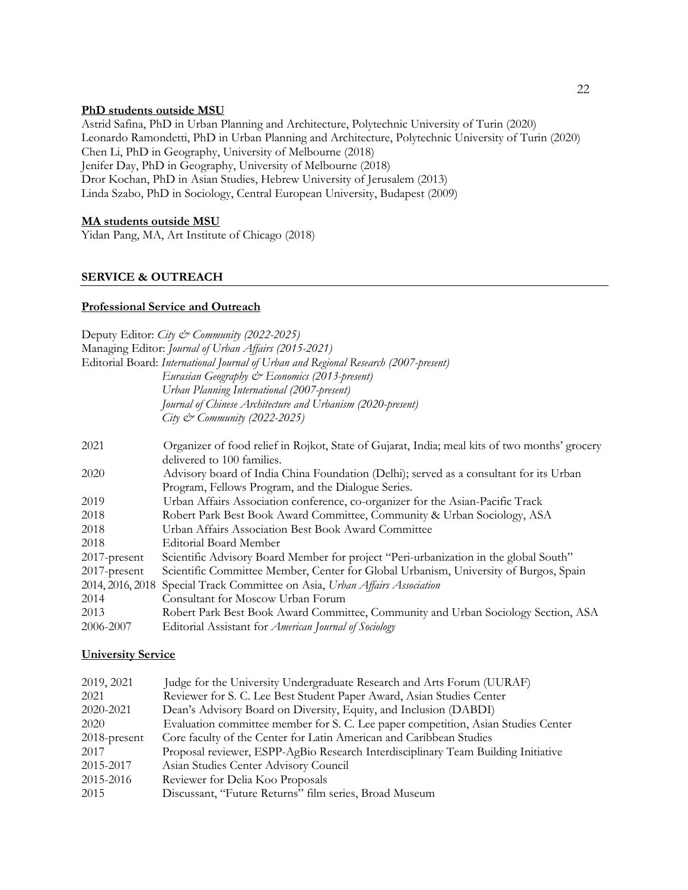### **PhD students outside MSU**

Astrid Safina, PhD in Urban Planning and Architecture, Polytechnic University of Turin (2020) Leonardo Ramondetti, PhD in Urban Planning and Architecture, Polytechnic University of Turin (2020) Chen Li, PhD in Geography, University of Melbourne (2018) Jenifer Day, PhD in Geography, University of Melbourne (2018) Dror Kochan, PhD in Asian Studies, Hebrew University of Jerusalem (2013) Linda Szabo, PhD in Sociology, Central European University, Budapest (2009)

### **MA students outside MSU**

Yidan Pang, MA, Art Institute of Chicago (2018)

### **SERVICE & OUTREACH**

### **Professional Service and Outreach**

Deputy Editor: *City & Community (2022-2025)* Managing Editor: *Journal of Urban Affairs (2015-2021)* Editorial Board: *International Journal of Urban and Regional Research (2007-present) Eurasian Geography & Economics (2013-present) Urban Planning International (2007-present) Journal of Chinese Architecture and Urbanism (2020-present) City & Community (2022-2025)* 2021 Organizer of food relief in Rojkot, State of Gujarat, India; meal kits of two months' grocery delivered to 100 families. 2020 Advisory board of India China Foundation (Delhi); served as a consultant for its Urban Program, Fellows Program, and the Dialogue Series. 2019 Urban Affairs Association conference, co-organizer for the Asian-Pacific Track 2018 Robert Park Best Book Award Committee, Community & Urban Sociology, ASA 2018 Urban Affairs Association Best Book Award Committee 2018 Editorial Board Member 2017-present Scientific Advisory Board Member for project "Peri-urbanization in the global South" 2017-present Scientific Committee Member, Center for Global Urbanism, University of Burgos, Spain 2014, 2016, 2018 Special Track Committee on Asia, *Urban Affairs Association* 2014 Consultant for Moscow Urban Forum 2013 Robert Park Best Book Award Committee, Community and Urban Sociology Section, ASA 2006-2007 Editorial Assistant for *American Journal of Sociology*

#### **University Service**

| 2019, 2021   | Judge for the University Undergraduate Research and Arts Forum (UURAF)            |
|--------------|-----------------------------------------------------------------------------------|
| 2021         | Reviewer for S. C. Lee Best Student Paper Award, Asian Studies Center             |
| 2020-2021    | Dean's Advisory Board on Diversity, Equity, and Inclusion (DABDI)                 |
| 2020         | Evaluation committee member for S. C. Lee paper competition, Asian Studies Center |
| 2018-present | Core faculty of the Center for Latin American and Caribbean Studies               |
| 2017         | Proposal reviewer, ESPP-AgBio Research Interdisciplinary Team Building Initiative |
| 2015-2017    | Asian Studies Center Advisory Council                                             |
| 2015-2016    | Reviewer for Delia Koo Proposals                                                  |
| 2015         | Discussant, "Future Returns" film series, Broad Museum                            |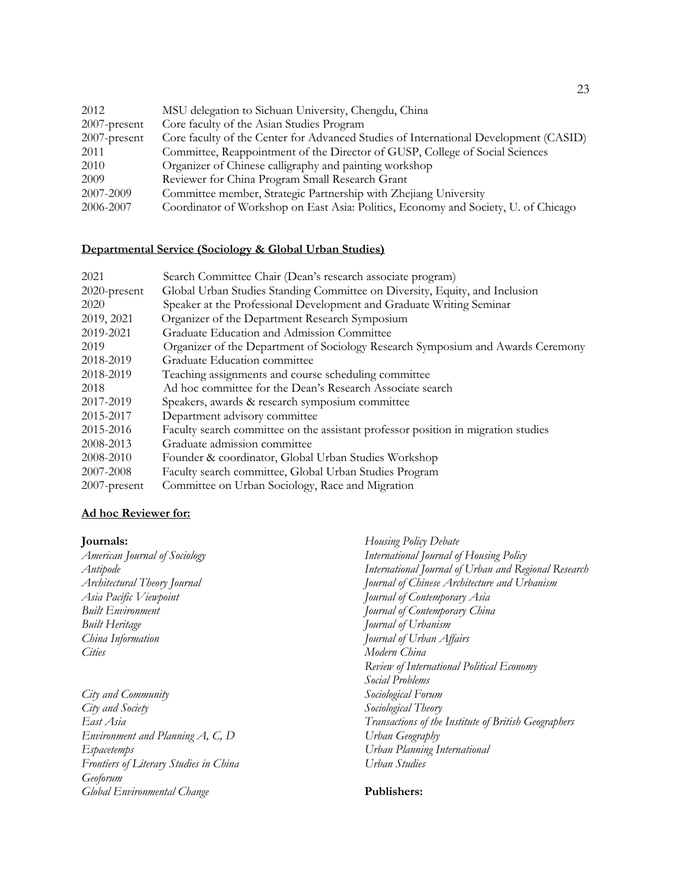| 2012            | MSU delegation to Sichuan University, Chengdu, China                                 |
|-----------------|--------------------------------------------------------------------------------------|
| $2007$ -present | Core faculty of the Asian Studies Program                                            |
| $2007$ -present | Core faculty of the Center for Advanced Studies of International Development (CASID) |
| 2011            | Committee, Reappointment of the Director of GUSP, College of Social Sciences         |
| 2010            | Organizer of Chinese calligraphy and painting workshop                               |
| 2009            | Reviewer for China Program Small Research Grant                                      |
| 2007-2009       | Committee member, Strategic Partnership with Zhejiang University                     |
| 2006-2007       | Coordinator of Workshop on East Asia: Politics, Economy and Society, U. of Chicago   |

### **Departmental Service (Sociology & Global Urban Studies)**

| 2021         | Search Committee Chair (Dean's research associate program)                        |
|--------------|-----------------------------------------------------------------------------------|
| 2020-present | Global Urban Studies Standing Committee on Diversity, Equity, and Inclusion       |
| 2020         | Speaker at the Professional Development and Graduate Writing Seminar              |
| 2019, 2021   | Organizer of the Department Research Symposium                                    |
| 2019-2021    | Graduate Education and Admission Committee                                        |
| 2019         | Organizer of the Department of Sociology Research Symposium and Awards Ceremony   |
| 2018-2019    | Graduate Education committee                                                      |
| 2018-2019    | Teaching assignments and course scheduling committee                              |
| 2018         | Ad hoc committee for the Dean's Research Associate search                         |
| 2017-2019    | Speakers, awards & research symposium committee                                   |
| 2015-2017    | Department advisory committee                                                     |
| 2015-2016    | Faculty search committee on the assistant professor position in migration studies |
| 2008-2013    | Graduate admission committee                                                      |
| 2008-2010    | Founder & coordinator, Global Urban Studies Workshop                              |
| 2007-2008    | Faculty search committee, Global Urban Studies Program                            |
| 2007-present | Committee on Urban Sociology, Race and Migration                                  |

### **Ad hoc Reviewer for:**

### **Journals:**

*American Journal of Sociology Antipode Architectural Theory Journal Asia Pacific Viewpoint Built Environment Built Heritage China Information Cities*

*City and Community City and Society East Asia Environment and Planning A, C, D Espacetemps Frontiers of Literary Studies in China Geoforum Global Environmental Change*

*Housing Policy Debate International Journal of Housing Policy International Journal of Urban and Regional Research Journal of Chinese Architecture and Urbanism Journal of Contemporary Asia Journal of Contemporary China Journal of Urbanism Journal of Urban Affairs Modern China Review of International Political Economy Social Problems Sociological Forum Sociological Theory Transactions of the Institute of British Geographers Urban Geography Urban Planning International Urban Studies*

### **Publishers:**